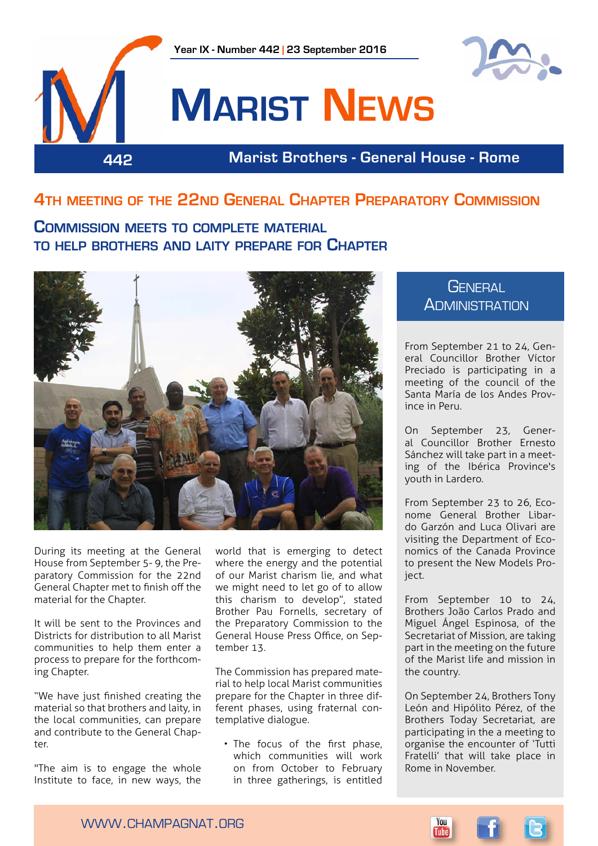



# **Marist News**

**442 Marist Brothers - General House - Rome**

## **4th meeting of the 22nd General Chapter Preparatory Commission**

## **Commission meets to complete material to help brothers and laity prepare for Chapter**



During its meeting at the General House from September 5- 9, the Preparatory Commission for the 22nd General Chapter met to finish off the material for the Chapter.

It will be sent to the Provinces and Districts for distribution to all Marist communities to help them enter a process to prepare for the forthcoming Chapter.

"We have just finished creating the material so that brothers and laity, in the local communities, can prepare and contribute to the General Chapter.

"The aim is to engage the whole Institute to face, in new ways, the

world that is emerging to detect where the energy and the potential of our Marist charism lie, and what we might need to let go of to allow this charism to develop", stated Brother Pau Fornells, secretary of the Preparatory Commission to the General House Press Office, on September 13.

The Commission has prepared material to help local Marist communities prepare for the Chapter in three different phases, using fraternal contemplative dialogue.

• The focus of the first phase, which communities will work on from October to February in three gatherings, is entitled

## **GENERAL ADMINISTRATION**

From September 21 to 24, General Councillor Brother Víctor Preciado is participating in a meeting of the council of the Santa María de los Andes Province in Peru.

On September 23, General Councillor Brother Ernesto Sánchez will take part in a meeting of the Ibérica Province's youth in Lardero.

From September 23 to 26, Econome General Brother Libardo Garzón and Luca Olivari are visiting the Department of Economics of the Canada Province to present the New Models Project.

From September 10 to 24, Brothers João Carlos Prado and Miguel Ángel Espinosa, of the Secretariat of Mission, are taking part in the meeting on the future of the Marist life and mission in the country.

On September 24, Brothers Tony León and Hipólito Pérez, of the Brothers Today Secretariat, are participating in the a meeting to organise the encounter of 'Tutti Fratelli' that will take place in Rome in November.

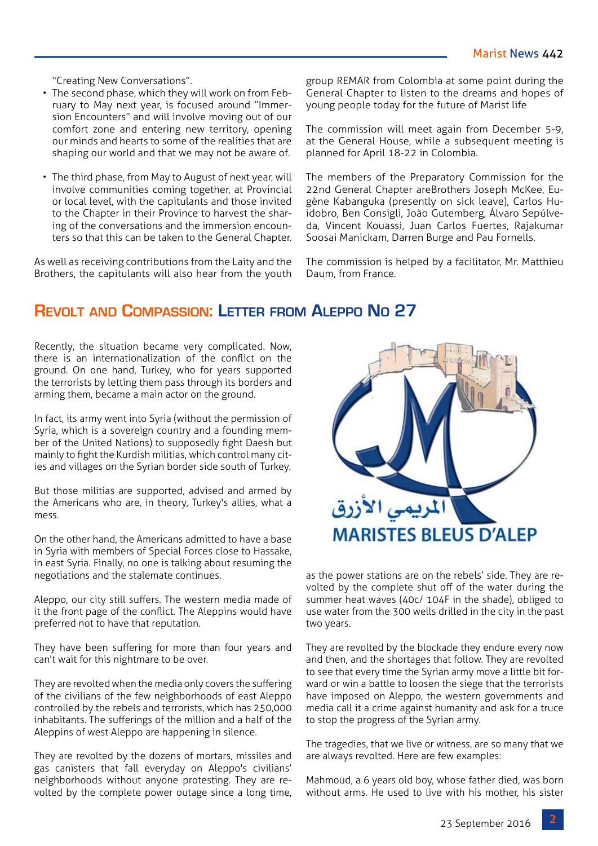"Creating New Conversations".

- The second phase, which they will work on from February to May next year, is focused around "Immersion Encounters" and will involve moving out of our comfort zone and entering new territory, opening our minds and hearts to some of the realities that are shaping our world and that we may not be aware of.
- The third phase, from May to August of next year, will involve communities coming together, at Provincial or local level, with the capitulants and those invited to the Chapter in their Province to harvest the sharing of the conversations and the immersion encounters so that this can be taken to the General Chapter.

As well as receiving contributions from the Laity and the Brothers, the capitulants will also hear from the youth

group REMAR from Colombia at some point during the General Chapter to listen to the dreams and hopes of young people today for the future of Marist life

The commission will meet again from December 5-9, at the General House, while a subsequent meeting is planned for April 18-22 in Colombia.

The members of the Preparatory Commission for the 22nd General Chapter areBrothers Joseph McKee, Eugène Kabanguka (presently on sick leave), Carlos Huidobro, Ben Consigli, João Gutemberg, Álvaro Sepúlveda, Vincent Kouassi, Juan Carlos Fuertes, Rajakumar Soosai Manickam, Darren Burge and Pau Fornells.

The commission is helped by a facilitator, Mr. Matthieu Daum, from France.

## **Revolt and Compassion: Letter from Aleppo No 27**

Recently, the situation became very complicated. Now, there is an internationalization of the conflict on the ground. On one hand, Turkey, who for years supported the terrorists by letting them pass through its borders and arming them, became a main actor on the ground.

In fact, its army went into Syria (without the permission of Syria, which is a sovereign country and a founding member of the United Nations) to supposedly fight Daesh but mainly to fight the Kurdish militias, which control many cities and villages on the Syrian border side south of Turkey.

But those militias are supported, advised and armed by the Americans who are, in theory, Turkey's allies, what a mess.

On the other hand, the Americans admitted to have a base in Syria with members of Special Forces close to Hassake, in east Syria. Finally, no one is talking about resuming the negotiations and the stalemate continues.

Aleppo, our city still suffers. The western media made of it the front page of the conflict. The Aleppins would have preferred not to have that reputation.

They have been suffering for more than four years and can't wait for this nightmare to be over.

They are revolted when the media only covers the suffering of the civilians of the few neighborhoods of east Aleppo controlled by the rebels and terrorists, which has 250,000 inhabitants. The sufferings of the million and a half of the Aleppins of west Aleppo are happening in silence.

They are revolted by the dozens of mortars, missiles and gas canisters that fall everyday on Aleppo's civilians' neighborhoods without anyone protesting. They are revolted by the complete power outage since a long time,



as the power stations are on the rebels' side. They are revolted by the complete shut off of the water during the summer heat waves (40c/ 104F in the shade), obliged to use water from the 300 wells drilled in the city in the past two years.

They are revolted by the blockade they endure every now and then, and the shortages that follow. They are revolted to see that every time the Syrian army move a little bit forward or win a battle to loosen the siege that the terrorists have imposed on Aleppo, the western governments and media call it a crime against humanity and ask for a truce to stop the progress of the Syrian army.

The tragedies, that we live or witness, are so many that we are always revolted. Here are few examples:

Mahmoud, a 6 years old boy, whose father died, was born without arms. He used to live with his mother, his sister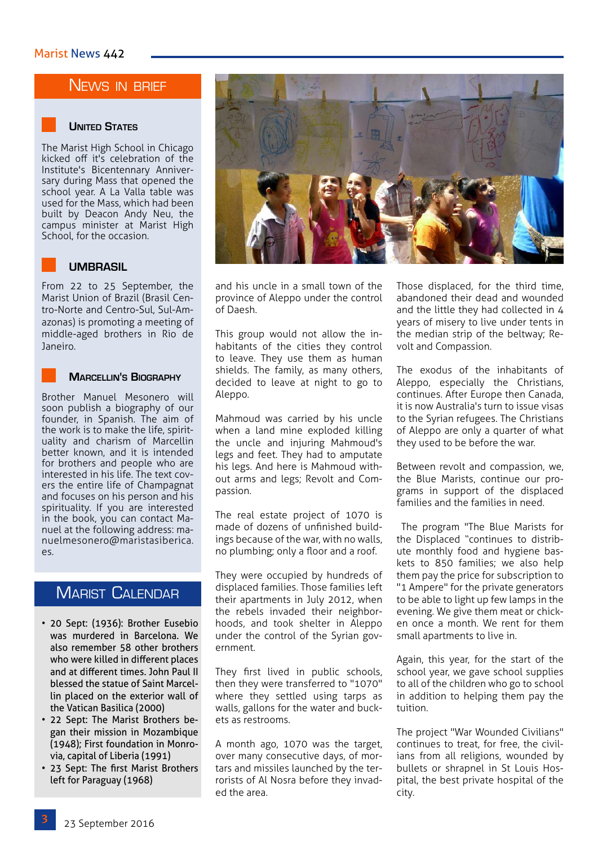### NEWS IN BRIEF



#### **UNITED STATES**

The Marist High School in Chicago kicked off it's celebration of the Institute's Bicentennary Anniversary during Mass that opened the school year. A La Valla table was used for the Mass, which had been built by Deacon Andy Neu, the campus minister at Marist High School, for the occasion.



#### **UMBRASIL**

From 22 to 25 September, the Marist Union of Brazil (Brasil Centro-Norte and Centro-Sul, Sul-Amazonas) is promoting a meeting of middle-aged brothers in Rio de Janeiro.

#### **Marcellin's Biography**

Brother Manuel Mesonero will soon publish a biography of our founder, in Spanish. The aim of the work is to make the life, spirituality and charism of Marcellin better known, and it is intended for brothers and people who are interested in his life. The text covers the entire life of Champagnat and focuses on his person and his spirituality. If you are interested in the book, you can contact Manuel at the following address: manuelmesonero@maristasiberica. es.

## Marist Calendar

- 20 Sept: (1936): Brother Eusebio was murdered in Barcelona. We also remember 58 other brothers who were killed in different places and at different times. John Paul II blessed the statue of Saint Marcellin placed on the exterior wall of the Vatican Basilica (2000)
- 22 Sept: The Marist Brothers began their mission in Mozambique (1948); First foundation in Monrovia, capital of Liberia (1991)
- 23 Sept: The first Marist Brothers left for Paraguay (1968)



and his uncle in a small town of the province of Aleppo under the control of Daesh.

This group would not allow the inhabitants of the cities they control to leave. They use them as human shields. The family, as many others, decided to leave at night to go to Aleppo.

Mahmoud was carried by his uncle when a land mine exploded killing the uncle and injuring Mahmoud's legs and feet. They had to amputate his legs. And here is Mahmoud without arms and legs; Revolt and Compassion.

The real estate project of 1070 is made of dozens of unfinished buildings because of the war, with no walls, no plumbing; only a floor and a roof.

They were occupied by hundreds of displaced families. Those families left their apartments in July 2012, when the rebels invaded their neighborhoods, and took shelter in Aleppo under the control of the Syrian government.

They first lived in public schools, then they were transferred to "1070" where they settled using tarps as walls, gallons for the water and buckets as restrooms.

A month ago, 1070 was the target, over many consecutive days, of mortars and missiles launched by the terrorists of Al Nosra before they invaded the area.

Those displaced, for the third time, abandoned their dead and wounded and the little they had collected in 4 years of misery to live under tents in the median strip of the beltway; Revolt and Compassion.

The exodus of the inhabitants of Aleppo, especially the Christians, continues. After Europe then Canada, it is now Australia's turn to issue visas to the Syrian refugees. The Christians of Aleppo are only a quarter of what they used to be before the war.

Between revolt and compassion, we, the Blue Marists, continue our programs in support of the displaced families and the families in need.

 The program "The Blue Marists for the Displaced "continues to distribute monthly food and hygiene baskets to 850 families; we also help them pay the price for subscription to "1 Ampere" for the private generators to be able to light up few lamps in the evening. We give them meat or chicken once a month. We rent for them small apartments to live in.

Again, this year, for the start of the school year, we gave school supplies to all of the children who go to school in addition to helping them pay the tuition.

The project "War Wounded Civilians" continues to treat, for free, the civilians from all religions, wounded by bullets or shrapnel in St Louis Hospital, the best private hospital of the city.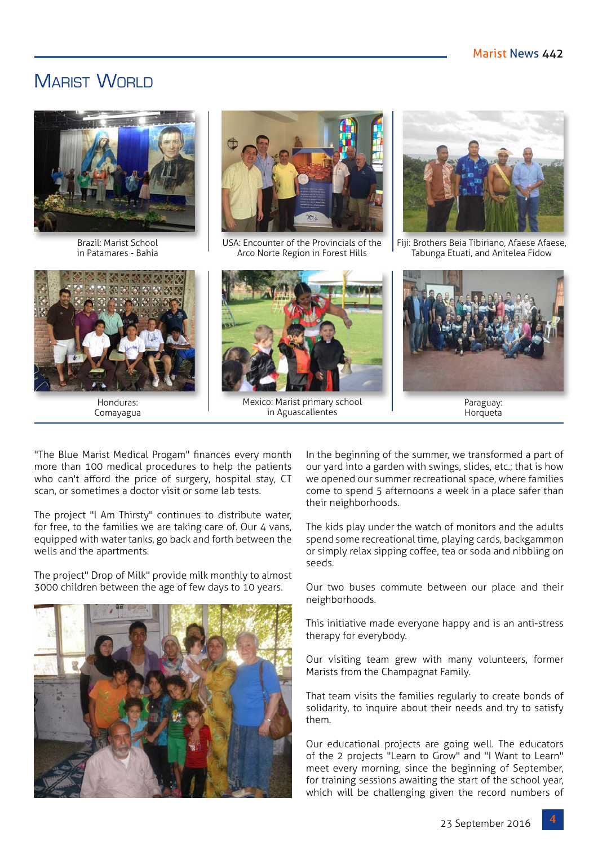## MARIST WORLD



Brazil: Marist School in Patamares - Bahia



Honduras: Comayagua



USA: Encounter of the Provincials of the Arco Norte Region in Forest Hills



Mexico: Marist primary school in Aguascalientes



Fiji: Brothers Beia Tibiriano, Afaese Afaese, Tabunga Etuati, and Anitelea Fidow



Paraguay: **Horqueta** 

"The Blue Marist Medical Progam" finances every month more than 100 medical procedures to help the patients who can't afford the price of surgery, hospital stay, CT scan, or sometimes a doctor visit or some lab tests.

The project "I Am Thirsty" continues to distribute water, for free, to the families we are taking care of. Our 4 vans, equipped with water tanks, go back and forth between the wells and the apartments.

The project" Drop of Milk" provide milk monthly to almost 3000 children between the age of few days to 10 years.



In the beginning of the summer, we transformed a part of our yard into a garden with swings, slides, etc.; that is how we opened our summer recreational space, where families come to spend 5 afternoons a week in a place safer than their neighborhoods.

The kids play under the watch of monitors and the adults spend some recreational time, playing cards, backgammon or simply relax sipping coffee, tea or soda and nibbling on seeds.

Our two buses commute between our place and their neighborhoods.

This initiative made everyone happy and is an anti-stress therapy for everybody.

Our visiting team grew with many volunteers, former Marists from the Champagnat Family.

That team visits the families regularly to create bonds of solidarity, to inquire about their needs and try to satisfy them.

Our educational projects are going well. The educators of the 2 projects "Learn to Grow" and "I Want to Learn" meet every morning, since the beginning of September, for training sessions awaiting the start of the school year, which will be challenging given the record numbers of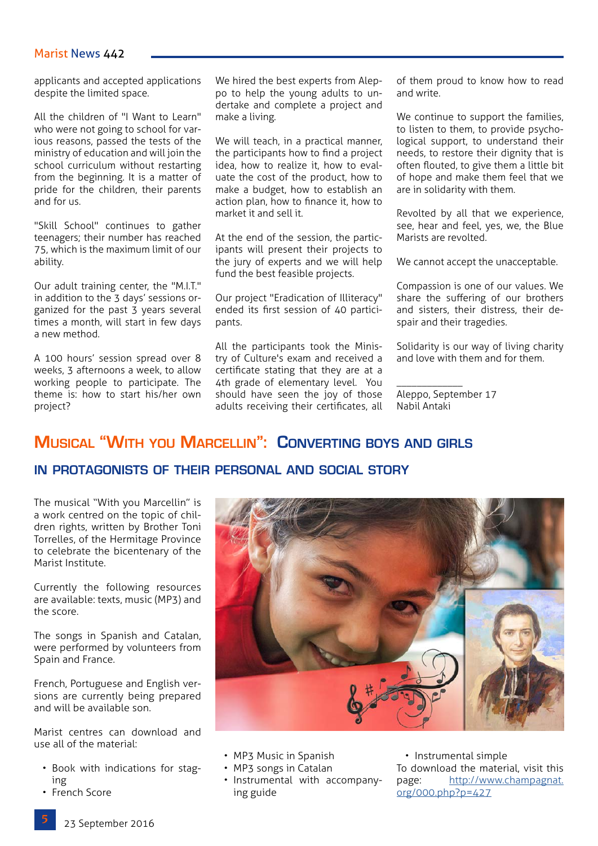#### Marist News 442

applicants and accepted applications despite the limited space.

All the children of "I Want to Learn" who were not going to school for various reasons, passed the tests of the ministry of education and will join the school curriculum without restarting from the beginning. It is a matter of pride for the children, their parents and for us.

"Skill School" continues to gather teenagers; their number has reached 75, which is the maximum limit of our ability.

Our adult training center, the "M.I.T." in addition to the 3 days' sessions organized for the past 3 years several times a month, will start in few days a new method.

A 100 hours' session spread over 8 weeks, 3 afternoons a week, to allow working people to participate. The theme is: how to start his/her own project?

We hired the best experts from Aleppo to help the young adults to undertake and complete a project and make a living.

We will teach, in a practical manner, the participants how to find a project idea, how to realize it, how to evaluate the cost of the product, how to make a budget, how to establish an action plan, how to finance it, how to market it and sell it.

At the end of the session, the participants will present their projects to the jury of experts and we will help fund the best feasible projects.

Our project "Eradication of Illiteracy" ended its first session of 40 participants.

All the participants took the Ministry of Culture's exam and received a certificate stating that they are at a 4th grade of elementary level. You should have seen the joy of those adults receiving their certificates, all

of them proud to know how to read and write.

We continue to support the families, to listen to them, to provide psychological support, to understand their needs, to restore their dignity that is often flouted, to give them a little bit of hope and make them feel that we are in solidarity with them.

Revolted by all that we experience, see, hear and feel, yes, we, the Blue Marists are revolted.

We cannot accept the unacceptable.

Compassion is one of our values. We share the suffering of our brothers and sisters, their distress, their despair and their tragedies.

Solidarity is our way of living charity and love with them and for them.

Aleppo, September 17 Nabil Antaki

\_\_\_\_\_\_\_\_\_\_\_\_\_

## **Musical "With you Marcellin": Converting boys and girls**

#### **in protagonists of their personal and social story**

The musical "With you Marcellin" is a work centred on the topic of children rights, written by Brother Toni Torrelles, of the Hermitage Province to celebrate the bicentenary of the Marist Institute.

Currently the following resources are available: texts, music (MP3) and the score.

The songs in Spanish and Catalan, were performed by volunteers from Spain and France.

French, Portuguese and English versions are currently being prepared and will be available son.

Marist centres can download and use all of the material:

- Book with indications for staging
- French Score



- MP3 Music in Spanish
- MP3 songs in Catalan
- Instrumental with accompanying guide

• Instrumental simple To download the material, visit this page: [http://www.champagnat.](http://www.champagnat.org/000.php?p=427) [org/000.php?p=427](http://www.champagnat.org/000.php?p=427)